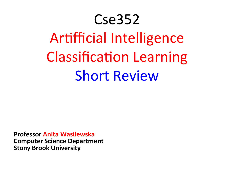# Cse352

Artifficial Intelligence **Classification Learning** Short Review

**Professor Anita Wasilewska Computer Science Department Stony Brook University**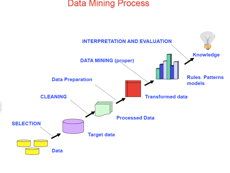#### **Data Mining Process**

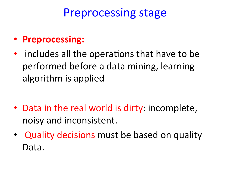### **Preprocessing stage**

#### • **Preprocessing:**

• includes all the operations that have to be performed before a data mining, learning algorithm is applied

- Data in the real world is dirty: incomplete, noisy and inconsistent.
- **Quality decisions must be based on quality** Data.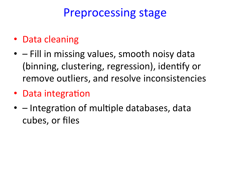### **Preprocessing stage**

- Data cleaning
- $\bullet$  Fill in missing values, smooth noisy data (binning, clustering, regression), identify or remove outliers, and resolve inconsistencies
- Data integration
- $\bullet$  Integration of multiple databases, data cubes, or files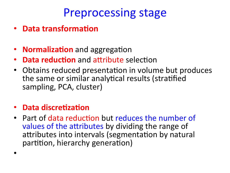### **Preprocessing stage**

- **Data transformation**
- **Normalization** and aggregation
- **Data reduction** and attribute selection
- Obtains reduced presentation in volume but produces the same or similar analytical results (stratified sampling, PCA, cluster)
- **Data discretization**
- Part of data reduction but reduces the number of values of the attributes by dividing the range of attributes into intervals (segmentation by natural partition, hierarchy generation)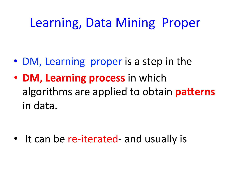### Learning, Data Mining Proper

- DM, Learning proper is a step in the
- **DM, Learning process** in which algorithms are applied to obtain **patterns** in data.

• It can be re-iterated- and usually is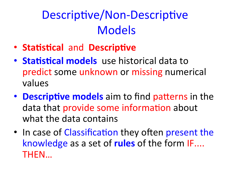### Descriptive/Non-Descriptive **Models**

- **Statistical and Descriptive**
- **Statistical models** use historical data to predict some unknown or missing numerical values
- **Descriptive models** aim to find patterns in the data that provide some information about what the data contains
- In case of Classification they often present the knowledge as a set of **rules** of the form IF.... THEN…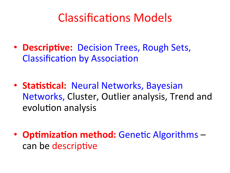### **Classifications Models**

- **Descriptive:** Decision Trees, Rough Sets, **Classification by Association**
- **Statistical:** Neural Networks, Bayesian Networks, Cluster, Outlier analysis, Trend and evolution analysis
- **Optimization method:** Genetic Algorithms can be descriptive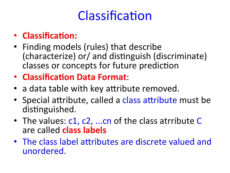# Classification

#### • **Classification:**

- Finding models (rules) that describe (characterize) or/ and distinguish (discriminate) classes or concepts for future prediction
- **Classification Data Format:**
- a data table with key attribute removed.
- Special attribute, called a class attribute must be distinguished.
- The values: c1, c2, ...cn of the class atrribute C are called **class labels**
- The class label attributes are discrete valued and unordered.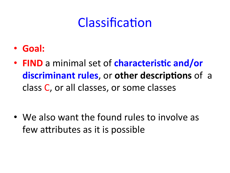### Classification

- **Goal:**
- **FIND** a minimal set of **characteristic and/or discriminant rules**, or other descriptions of a class C, or all classes, or some classes

• We also want the found rules to involve as few attributes as it is possible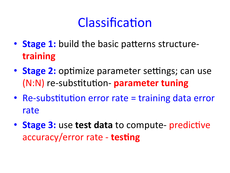### Classification

- **Stage 1:** build the basic patterns structure**training**
- **Stage 2:** optimize parameter settings; can use **(N:N)** re-substitution- **parameter tuning**
- Re-substitution error rate  $=$  training data error rate
- **Stage 3:** use test data to compute- predictive accuracy/error rate - **testing**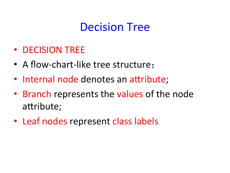#### Decision Tree

- DECISION TREE
- A flow-chart-like tree structure;
- Internal node denotes an attribute;
- Branch represents the values of the node attribute;
- Leaf nodes represent class labels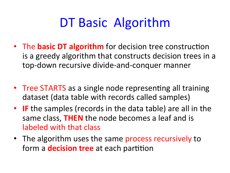## DT Basic Algorithm

- The **basic DT algorithm** for decision tree construction is a greedy algorithm that constructs decision trees in a top-down recursive divide-and-conquer manner
- Tree STARTS as a single node representing all training dataset (data table with records called samples)
- IF the samples (records in the data table) are all in the same class, **THEN** the node becomes a leaf and is labeled with that class
- The algorithm uses the same process recursively to form a **decision tree** at each partition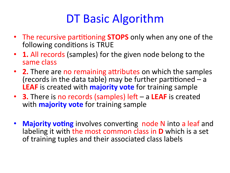### DT Basic Algorithm

- The recursive partitioning **STOPS** only when any one of the following conditions is TRUE
- **1.** All records (samples) for the given node belong to the same class
- 2. There are no remaining attributes on which the samples (records in the data table) may be further partitioned  $-$  a **LEAF** is created with **majority vote** for training sample
- **3.** There is no records (samples) left a LEAF is created with **majority vote** for training sample
- Majority voting involves converting node N into a leaf and labeling it with the most common class in **D** which is a set of training tuples and their associated class labels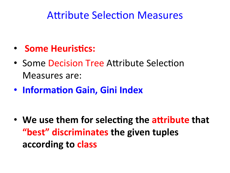#### **Attribute Selection Measures**

- **Some Heuristics:**
- Some Decision Tree Attribute Selection Measures are:
- **Information Gain, Gini Index**

• We use them for selecting the attribute that "best" discriminates the given tuples **according to class**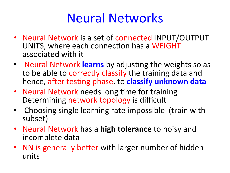## Neural Networks

- Neural Network is a set of connected INPUT/OUTPUT UNITS, where each connection has a WEIGHT associated with it
- Neural Network learns by adjusting the weights so as to be able to correctly classify the training data and hence, after testing phase, to **classify unknown data**
- Neural Network needs long time for training Determining network topology is difficult
- Choosing single learning rate impossible (train with subset)
- Neural Network has a high tolerance to noisy and incomplete data
- NN is generally better with larger number of hidden units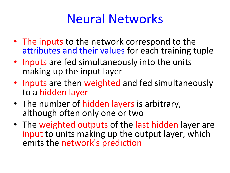## Neural Networks

- The inputs to the network correspond to the attributes and their values for each training tuple
- Inputs are fed simultaneously into the units making up the input layer
- Inputs are then weighted and fed simultaneously to a hidden layer
- The number of hidden layers is arbitrary, although often only one or two
- The weighted outputs of the last hidden layer are input to units making up the output layer, which emits the network's prediction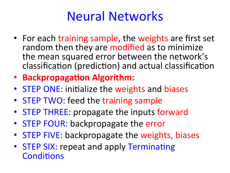## Neural Networks

- For each training sample, the weights are first set random then they are modified as to minimize the mean squared error between the network's classification (prediction) and actual classification
- Backpropagation Algorithm:
- STEP ONE: initialize the weights and biases
- STEP TWO: feed the training sample
- STEP THREE: propagate the inputs forward
- STEP FOUR: backpropagate the error
- STEP FIVE: backpropagate the weights, biases
- STEP SIX: repeat and apply Terminating Conditions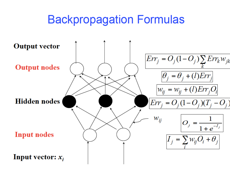### **Backpropagation Formulas**

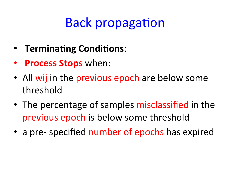### **Back propagation**

- **Terminating Conditions:**
- **Process Stops** when:
- All wij in the previous epoch are below some threshold
- The percentage of samples misclassified in the previous epoch is below some threshold
- a pre- specified number of epochs has expired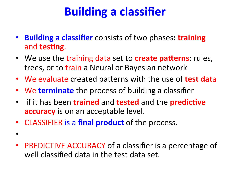### **Building a classifier**

- **Building a classifier** consists of two phases: training and **testing**.
- We use the training data set to **create patterns**: rules, trees, or to train a Neural or Bayesian network
- We evaluate created patterns with the use of test data
- We terminate the process of building a classifier
- if it has been **trained** and **tested** and the **predictive accuracy** is on an acceptable level.
- CLASSIFIER is a **final product** of the process.
- 
- PREDICTIVE ACCURACY of a classifier is a percentage of well classified data in the test data set.